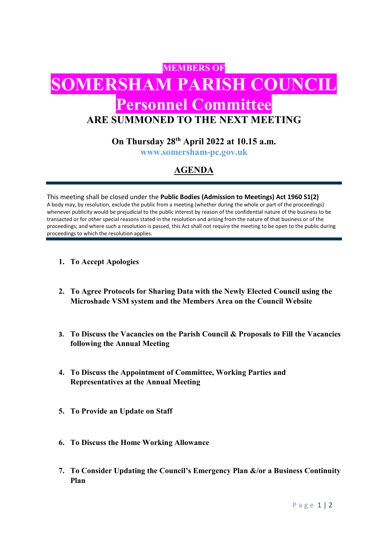# **MEMBERS OF DMERSHAM PARISH COUNCIL** Personnel Committee ARE SUMMONED TO THE NEXT MEETING

### On Thursday  $28<sup>th</sup>$  April 2022 at 10.15 a.m.

www.somersham-pc.gov.uk

## AGENDA

This meeting shall be closed under the Public Bodies (Admission to Meetings) Act 1960 S1(2) A body may, by resolution, exclude the public from a meeting (whether during the whole or part of the proceedings) whenever publicity would be prejudicial to the public interest by reason of the confidential nature of the business to be transacted or for other special reasons stated in the resolution and arising from the nature of that business or of the proceedings; and where such a resolution is passed, this Act shall not require the meeting to be open to the public during proceedings to which the resolution applies.

- 1. To Accept Apologies
- 2. To Agree Protocols for Sharing Data with the Newly Elected Council using the Microshade VSM system and the Members Area on the Council Website
- 3. To Discuss the Vacancies on the Parish Council & Proposals to Fill the Vacancies following the Annual Meeting
- 4. To Discuss the Appointment of Committee, Working Parties and Representatives at the Annual Meeting
- 5. To Provide an Update on Staff
- 6. To Discuss the Home Working Allowance
- 7. To Consider Updating the Council's Emergency Plan &/or a Business Continuity Plan